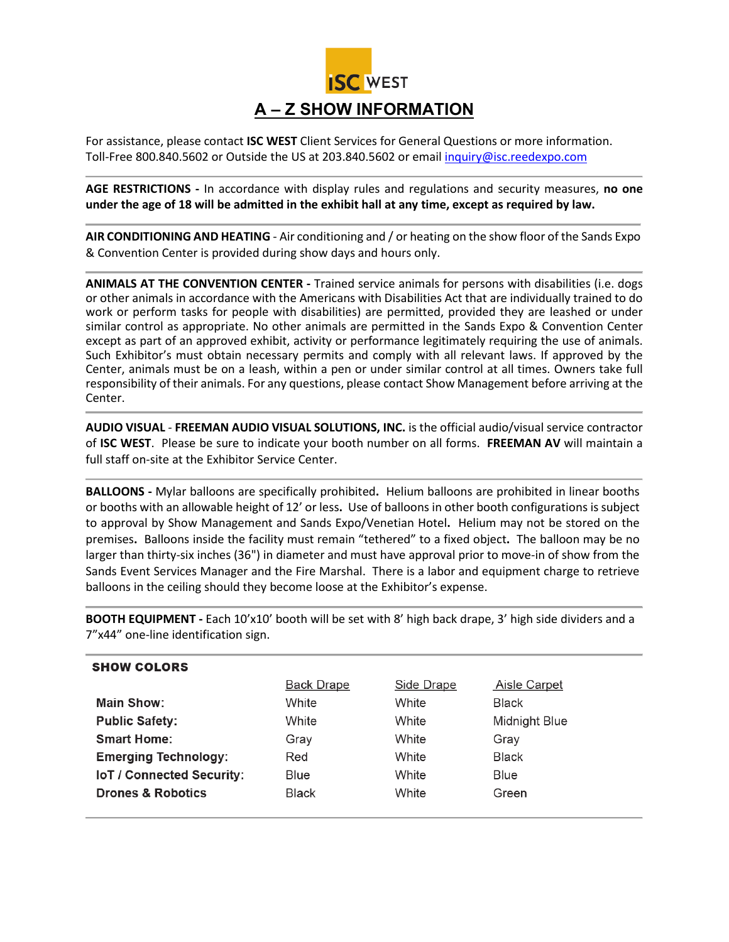

For assistance, please contact **ISC WEST** Client Services for General Questions or more information. Toll-Free 800.840.5602 or Outside the US at 203.840.5602 or emai[l inquiry@isc.reedexpo.com](mailto:inquiry@isc.reedexpo.com)

**AGE RESTRICTIONS -** In accordance with display rules and regulations and security measures, **no one under the age of 18 will be admitted in the exhibit hall at any time, except as required by law.**

**AIR CONDITIONING AND HEATING** - Air conditioning and / or heating on the show floor of the Sands Expo & Convention Center is provided during show days and hours only.

**ANIMALS AT THE CONVENTION CENTER -** Trained service animals for persons with disabilities (i.e. dogs or other animals in accordance with the Americans with Disabilities Act that are individually trained to do work or perform tasks for people with disabilities) are permitted, provided they are leashed or under similar control as appropriate. No other animals are permitted in the Sands Expo & Convention Center except as part of an approved exhibit, activity or performance legitimately requiring the use of animals. Such Exhibitor's must obtain necessary permits and comply with all relevant laws. If approved by the Center, animals must be on a leash, within a pen or under similar control at all times. Owners take full responsibility of their animals. For any questions, please contact Show Management before arriving at the Center.

**AUDIO VISUAL** *-* **FREEMAN AUDIO VISUAL SOLUTIONS, INC.** is the official audio/visual service contractor of **ISC WEST**. Please be sure to indicate your booth number on all forms. **FREEMAN AV** will maintain a full staff on-site at the Exhibitor Service Center.

**BALLOONS -** Mylar balloons are specifically prohibited**.** Helium balloons are prohibited in linear booths or booths with an allowable height of 12' or less**.** Use of balloons in other booth configurations is subject to approval by Show Management and Sands Expo/Venetian Hotel**.** Helium may not be stored on the premises**.** Balloons inside the facility must remain "tethered" to a fixed object**.** The balloon may be no larger than thirty-six inches (36") in diameter and must have approval prior to move-in of show from the Sands Event Services Manager and the Fire Marshal. There is a labor and equipment charge to retrieve balloons in the ceiling should they become loose at the Exhibitor's expense.

**BOOTH EQUIPMENT -** Each 10'x10' booth will be set with 8' high back drape, 3' high side dividers and a 7"x44" one-line identification sign.

| <b>SHOW COLORS</b>               |            |            |                     |
|----------------------------------|------------|------------|---------------------|
|                                  | Back Drape | Side Drape | <b>Aisle Carpet</b> |
| Main Show:                       | White      | White      | Black               |
| <b>Public Safety:</b>            | White      | White      | Midnight Blue       |
| <b>Smart Home:</b>               | Gray       | White      | Grav                |
| <b>Emerging Technology:</b>      | Red        | White      | <b>Black</b>        |
| <b>IoT / Connected Security:</b> | Blue       | White      | Blue                |
| <b>Drones &amp; Robotics</b>     | Black      | White      | Green               |
|                                  |            |            |                     |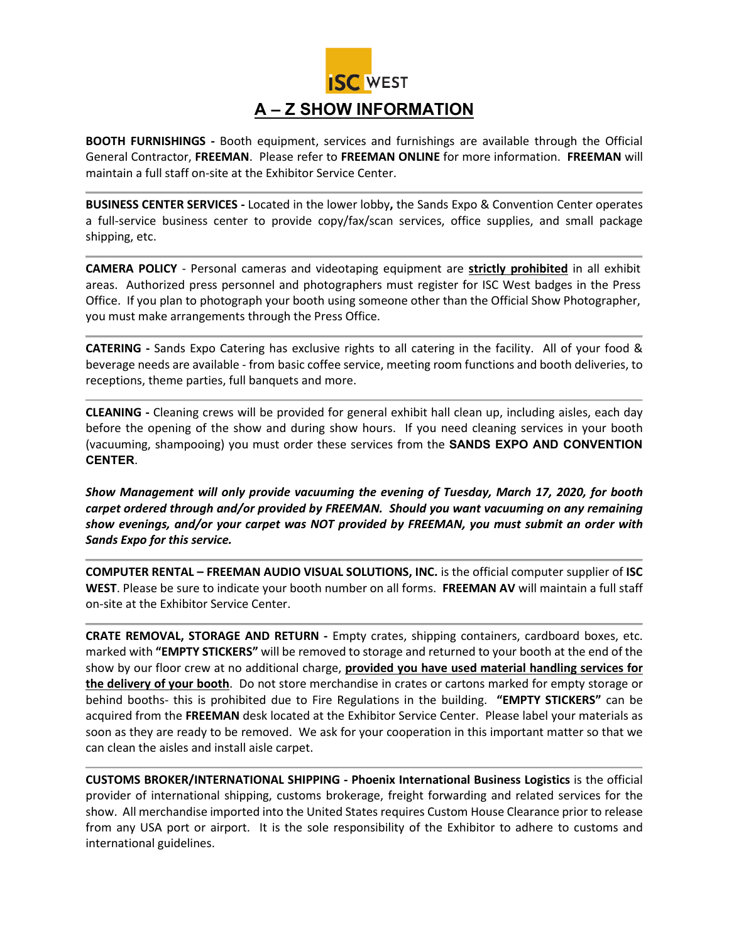

**BOOTH FURNISHINGS -** Booth equipment, services and furnishings are available through the Official General Contractor, **FREEMAN**. Please refer to **FREEMAN ONLINE** for more information. **FREEMAN** will maintain a full staff on-site at the Exhibitor Service Center.

**BUSINESS CENTER SERVICES -** Located in the lower lobby**,** the Sands Expo & Convention Center operates a full-service business center to provide copy/fax/scan services, office supplies, and small package shipping, etc.

**CAMERA POLICY** - Personal cameras and videotaping equipment are **strictly prohibited** in all exhibit areas. Authorized press personnel and photographers must register for ISC West badges in the Press Office. If you plan to photograph your booth using someone other than the Official Show Photographer, you must make arrangements through the Press Office.

**CATERING -** Sands Expo Catering has exclusive rights to all catering in the facility. All of your food & beverage needs are available - from basic coffee service, meeting room functions and booth deliveries, to receptions, theme parties, full banquets and more.

**CLEANING -** Cleaning crews will be provided for general exhibit hall clean up, including aisles, each day before the opening of the show and during show hours. If you need cleaning services in your booth (vacuuming, shampooing) you must order these services from the **SANDS EXPO AND CONVENTION CENTER**.

*Show Management will only provide vacuuming the evening of Tuesday, March 17, 2020, for booth carpet ordered through and/or provided by FREEMAN. Should you want vacuuming on any remaining show evenings, and/or your carpet was NOT provided by FREEMAN, you must submit an order with Sands Expo for this service.*

**COMPUTER RENTAL – FREEMAN AUDIO VISUAL SOLUTIONS, INC.** is the official computer supplier of **ISC WEST**. Please be sure to indicate your booth number on all forms. **FREEMAN AV** will maintain a full staff on-site at the Exhibitor Service Center.

**CRATE REMOVAL, STORAGE AND RETURN -** Empty crates, shipping containers, cardboard boxes, etc. marked with **"EMPTY STICKERS"** will be removed to storage and returned to your booth at the end of the show by our floor crew at no additional charge, **provided you have used material handling services for the delivery of your booth**. Do not store merchandise in crates or cartons marked for empty storage or behind booths- this is prohibited due to Fire Regulations in the building. **"EMPTY STICKERS"** can be acquired from the **FREEMAN** desk located at the Exhibitor Service Center. Please label your materials as soon as they are ready to be removed. We ask for your cooperation in this important matter so that we can clean the aisles and install aisle carpet.

**CUSTOMS BROKER/INTERNATIONAL SHIPPING - Phoenix International Business Logistics** is the official provider of international shipping, customs brokerage, freight forwarding and related services for the show. All merchandise imported into the United States requires Custom House Clearance prior to release from any USA port or airport. It is the sole responsibility of the Exhibitor to adhere to customs and international guidelines.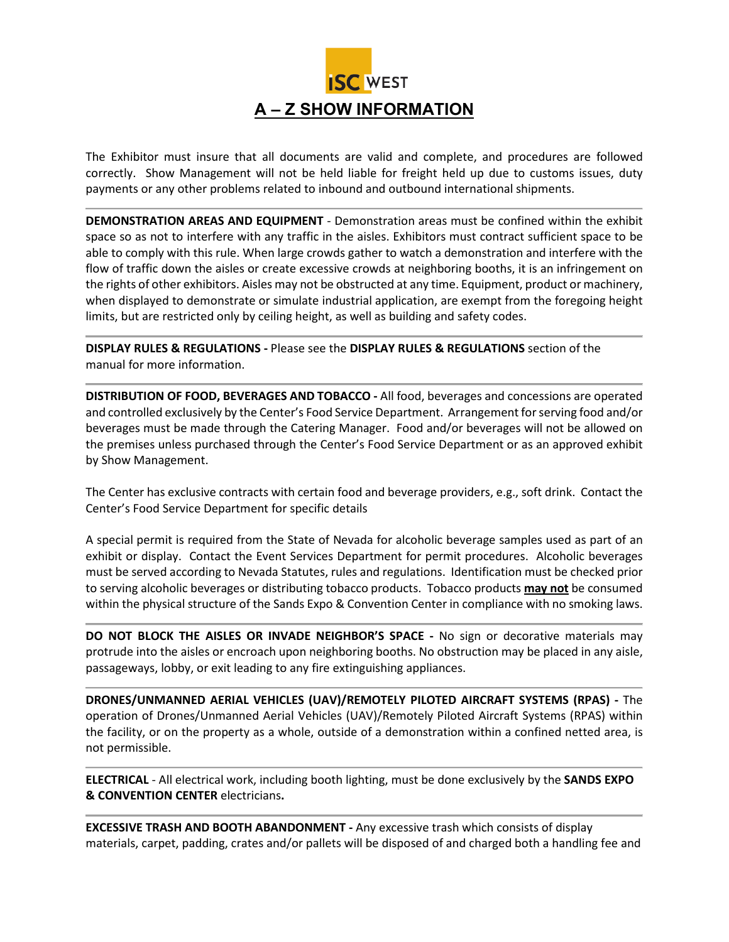

The Exhibitor must insure that all documents are valid and complete, and procedures are followed correctly. Show Management will not be held liable for freight held up due to customs issues, duty payments or any other problems related to inbound and outbound international shipments.

**DEMONSTRATION AREAS AND EQUIPMENT** - Demonstration areas must be confined within the exhibit space so as not to interfere with any traffic in the aisles. Exhibitors must contract sufficient space to be able to comply with this rule. When large crowds gather to watch a demonstration and interfere with the flow of traffic down the aisles or create excessive crowds at neighboring booths, it is an infringement on the rights of other exhibitors. Aisles may not be obstructed at any time. Equipment, product or machinery, when displayed to demonstrate or simulate industrial application, are exempt from the foregoing height limits, but are restricted only by ceiling height, as well as building and safety codes.

**DISPLAY RULES & REGULATIONS -** Please see the **DISPLAY RULES & REGULATIONS** section of the manual for more information.

**DISTRIBUTION OF FOOD, BEVERAGES AND TOBACCO -** All food, beverages and concessions are operated and controlled exclusively by the Center's Food Service Department. Arrangement for serving food and/or beverages must be made through the Catering Manager. Food and/or beverages will not be allowed on the premises unless purchased through the Center's Food Service Department or as an approved exhibit by Show Management.

The Center has exclusive contracts with certain food and beverage providers, e.g., soft drink. Contact the Center's Food Service Department for specific details

A special permit is required from the State of Nevada for alcoholic beverage samples used as part of an exhibit or display. Contact the Event Services Department for permit procedures. Alcoholic beverages must be served according to Nevada Statutes, rules and regulations. Identification must be checked prior to serving alcoholic beverages or distributing tobacco products. Tobacco products **may not** be consumed within the physical structure of the Sands Expo & Convention Center in compliance with no smoking laws.

**DO NOT BLOCK THE AISLES OR INVADE NEIGHBOR'S SPACE -** No sign or decorative materials may protrude into the aisles or encroach upon neighboring booths. No obstruction may be placed in any aisle, passageways, lobby, or exit leading to any fire extinguishing appliances.

**DRONES/UNMANNED AERIAL VEHICLES (UAV)/REMOTELY PILOTED AIRCRAFT SYSTEMS (RPAS) -** The operation of Drones/Unmanned Aerial Vehicles (UAV)/Remotely Piloted Aircraft Systems (RPAS) within the facility, or on the property as a whole, outside of a demonstration within a confined netted area, is not permissible.

**ELECTRICAL** - All electrical work, including booth lighting, must be done exclusively by the **SANDS EXPO & CONVENTION CENTER** electricians**.** 

**EXCESSIVE TRASH AND BOOTH ABANDONMENT -** Any excessive trash which consists of display materials, carpet, padding, crates and/or pallets will be disposed of and charged both a handling fee and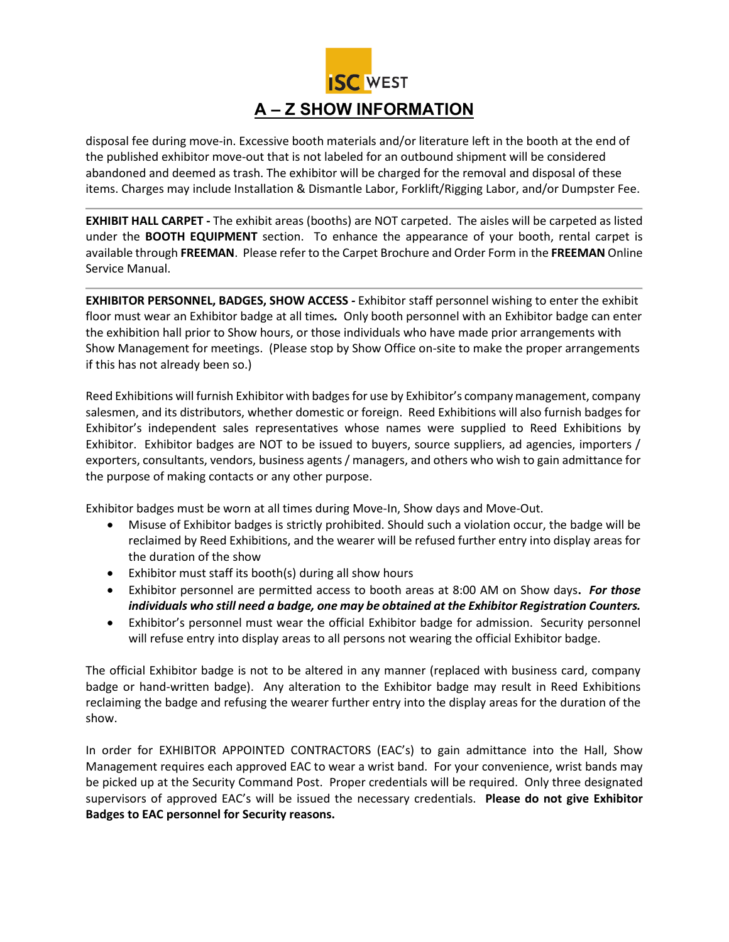

disposal fee during move-in. Excessive booth materials and/or literature left in the booth at the end of the published exhibitor move-out that is not labeled for an outbound shipment will be considered abandoned and deemed as trash. The exhibitor will be charged for the removal and disposal of these items. Charges may include Installation & Dismantle Labor, Forklift/Rigging Labor, and/or Dumpster Fee.

**EXHIBIT HALL CARPET -** The exhibit areas (booths) are NOT carpeted. The aisles will be carpeted as listed under the **BOOTH EQUIPMENT** section. To enhance the appearance of your booth, rental carpet is available through **FREEMAN**. Please refer to the Carpet Brochure and Order Form in the **FREEMAN** Online Service Manual.

**EXHIBITOR PERSONNEL, BADGES, SHOW ACCESS** *-* Exhibitor staff personnel wishing to enter the exhibit floor must wear an Exhibitor badge at all times*.* Only booth personnel with an Exhibitor badge can enter the exhibition hall prior to Show hours, or those individuals who have made prior arrangements with Show Management for meetings. (Please stop by Show Office on-site to make the proper arrangements if this has not already been so.)

Reed Exhibitions will furnish Exhibitor with badges for use by Exhibitor's company management, company salesmen, and its distributors, whether domestic or foreign. Reed Exhibitions will also furnish badges for Exhibitor's independent sales representatives whose names were supplied to Reed Exhibitions by Exhibitor. Exhibitor badges are NOT to be issued to buyers, source suppliers, ad agencies, importers / exporters, consultants, vendors, business agents / managers, and others who wish to gain admittance for the purpose of making contacts or any other purpose.

Exhibitor badges must be worn at all times during Move-In, Show days and Move-Out.

- Misuse of Exhibitor badges is strictly prohibited. Should such a violation occur, the badge will be reclaimed by Reed Exhibitions, and the wearer will be refused further entry into display areas for the duration of the show
- Exhibitor must staff its booth(s) during all show hours
- Exhibitor personnel are permitted access to booth areas at 8:00 AM on Show days**.** *For those individuals who still need a badge, one may be obtained at the Exhibitor Registration Counters.*
- Exhibitor's personnel must wear the official Exhibitor badge for admission. Security personnel will refuse entry into display areas to all persons not wearing the official Exhibitor badge.

The official Exhibitor badge is not to be altered in any manner (replaced with business card, company badge or hand-written badge). Any alteration to the Exhibitor badge may result in Reed Exhibitions reclaiming the badge and refusing the wearer further entry into the display areas for the duration of the show.

In order for EXHIBITOR APPOINTED CONTRACTORS (EAC's) to gain admittance into the Hall, Show Management requires each approved EAC to wear a wrist band. For your convenience, wrist bands may be picked up at the Security Command Post. Proper credentials will be required. Only three designated supervisors of approved EAC's will be issued the necessary credentials. **Please do not give Exhibitor Badges to EAC personnel for Security reasons.**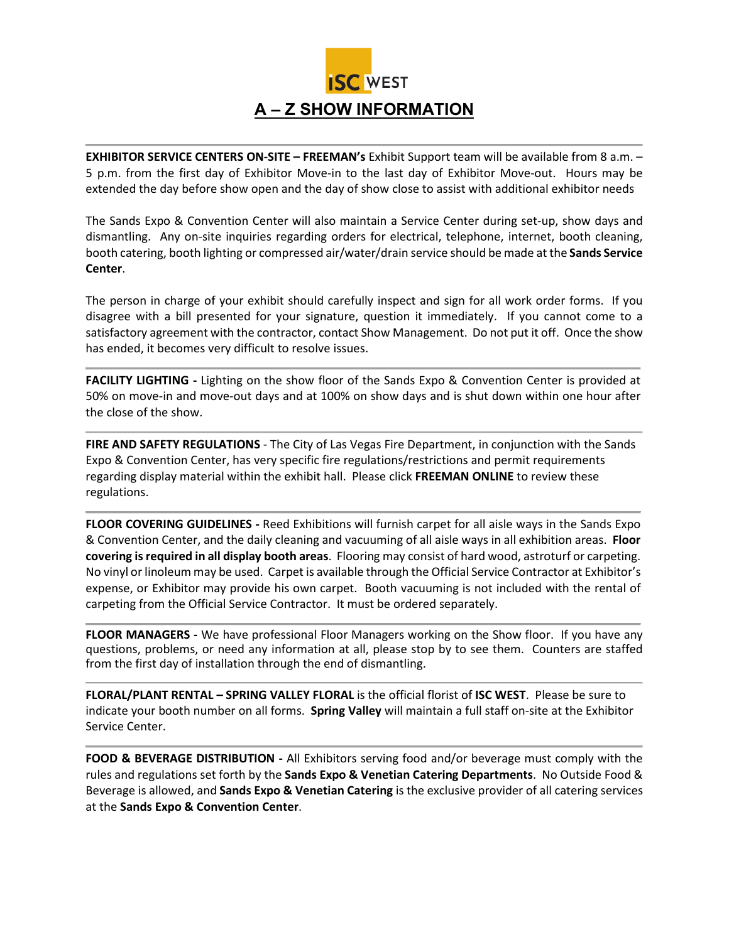

**EXHIBITOR SERVICE CENTERS ON-SITE – FREEMAN's** Exhibit Support team will be available from 8 a.m. – 5 p.m. from the first day of Exhibitor Move-in to the last day of Exhibitor Move-out. Hours may be extended the day before show open and the day of show close to assist with additional exhibitor needs

The Sands Expo & Convention Center will also maintain a Service Center during set-up, show days and dismantling. Any on-site inquiries regarding orders for electrical, telephone, internet, booth cleaning, booth catering, booth lighting or compressed air/water/drain service should be made at the **Sands Service Center**.

The person in charge of your exhibit should carefully inspect and sign for all work order forms. If you disagree with a bill presented for your signature, question it immediately. If you cannot come to a satisfactory agreement with the contractor, contact Show Management. Do not put it off. Once the show has ended, it becomes very difficult to resolve issues.

**FACILITY LIGHTING -** Lighting on the show floor of the Sands Expo & Convention Center is provided at 50% on move-in and move-out days and at 100% on show days and is shut down within one hour after the close of the show.

**FIRE AND SAFETY REGULATIONS** - The City of Las Vegas Fire Department, in conjunction with the Sands Expo & Convention Center, has very specific fire regulations/restrictions and permit requirements regarding display material within the exhibit hall. Please click **FREEMAN ONLINE** to review these [regulations.](http://www.freemanco.com/store/show/landing.jsp?nav=02&showID=310094&referer=s)

**FLOOR COVERING GUIDELINES -** Reed Exhibitions will furnish carpet for all aisle ways in the Sands Expo & Convention Center, and the daily cleaning and vacuuming of all aisle ways in all exhibition areas. **Floor covering is required in all display booth areas**. Flooring may consist of hard wood, astroturf or carpeting. No vinyl or linoleum may be used. Carpet is available through the Official Service Contractor at Exhibitor's expense, or Exhibitor may provide his own carpet. Booth vacuuming is not included with the rental of carpeting from the Official Service Contractor. It must be ordered separately.

**FLOOR MANAGERS -** We have professional Floor Managers working on the Show floor. If you have any questions, problems, or need any information at all, please stop by to see them. Counters are staffed from the first day of installation through the end of dismantling.

**FLORAL/PLANT RENTAL – SPRING VALLEY FLORAL** is the official florist of **ISC WEST**. Please be sure to indicate your booth number on all forms. **Spring Valley** will maintain a full staff on-site at the Exhibitor Service Center.

**FOOD & BEVERAGE DISTRIBUTION -** All Exhibitors serving food and/or beverage must comply with the rules and regulations set forth by the **Sands Expo & Venetian Catering Departments**. No Outside Food & Beverage is allowed, and **Sands Expo & Venetian Catering** is the exclusive provider of all catering services at the **Sands Expo & Convention Center**.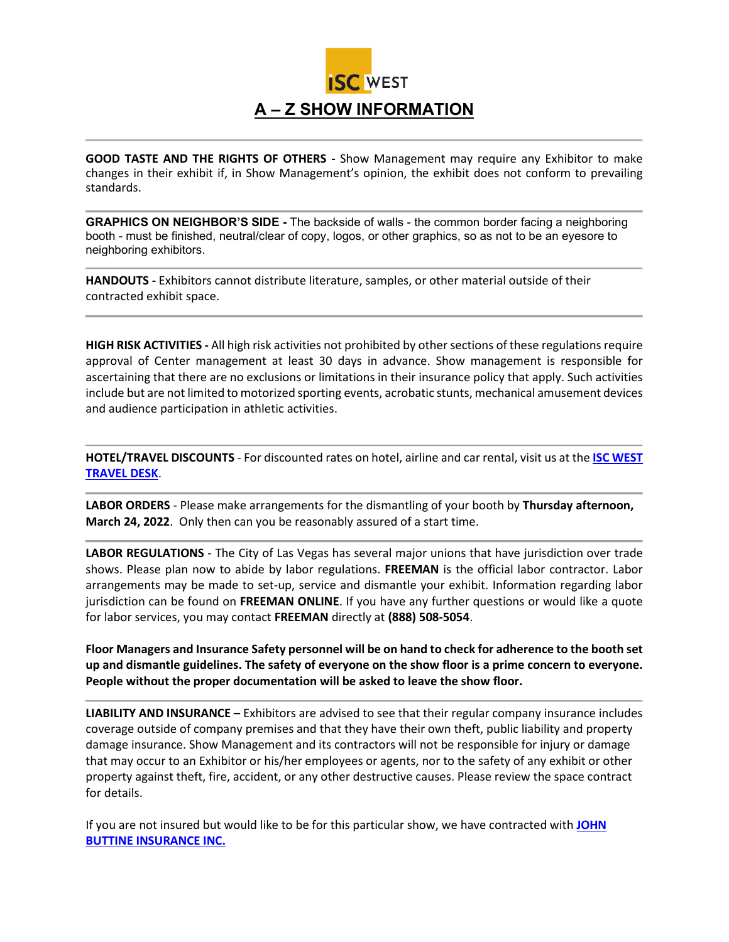

**GOOD TASTE AND THE RIGHTS OF OTHERS -** Show Management may require any Exhibitor to make changes in their exhibit if, in Show Management's opinion, the exhibit does not conform to prevailing standards.

**GRAPHICS ON NEIGHBOR'S SIDE -** The backside of walls - the common border facing a neighboring booth - must be finished, neutral/clear of copy, logos, or other graphics, so as not to be an eyesore to neighboring exhibitors.

**HANDOUTS -** Exhibitors cannot distribute literature, samples, or other material outside of their contracted exhibit space.

**HIGH RISK ACTIVITIES -** All high risk activities not prohibited by other sections of these regulations require approval of Center management at least 30 days in advance. Show management is responsible for ascertaining that there are no exclusions or limitations in their insurance policy that apply. Such activities include but are not limited to motorized sporting events, acrobatic stunts, mechanical amusement devices and audience participation in athletic activities.

**HOTEL/TRAVEL DISCOUNTS** - For discounted rates on hotel, airline and car rental, visit us at the **[ISC WEST](https://www.iscwest.com/en-us/show-info/official-isc-west-hotels.html)  [TRAVEL DESK](https://www.iscwest.com/en-us/show-info/official-isc-west-hotels.html)**.

**LABOR ORDERS** - Please make arrangements for the dismantling of your booth by **Thursday afternoon, March 24, 2022**. Only then can you be reasonably assured of a start time.

**LABOR REGULATIONS** - The City of Las Vegas has several major unions that have jurisdiction over trade shows. Please plan now to abide by labor regulations. **FREEMAN** is the official labor contractor. Labor arrangements may be made to set-up, service and dismantle your exhibit. Information regarding labor jurisdiction can be found on **FREEMAN ONLINE**. If you have any further questions or would like a quote for labor services, you may contact **FREEMAN** directly at **(888) 508-5054**.

**Floor Managers and Insurance Safety personnel will be on hand to check for adherence to the booth set up and dismantle guidelines. The safety of everyone on the show floor is a prime concern to everyone. People without the proper documentation will be asked to leave the show floor.**

**LIABILITY AND INSURANCE –** Exhibitors are advised to see that their regular company insurance includes coverage outside of company premises and that they have their own theft, public liability and property damage insurance. Show Management and its contractors will not be responsible for injury or damage that may occur to an Exhibitor or his/her employees or agents, nor to the safety of any exhibit or other property against theft, fire, accident, or any other destructive causes. Please review the space contract for details.

If you are not insured but would like to be for this particular show, we have contracted with **[JOHN](http://www.buttine.com/eventExhibitor.html)  [BUTTINE INSURANCE INC.](http://www.buttine.com/eventExhibitor.html)**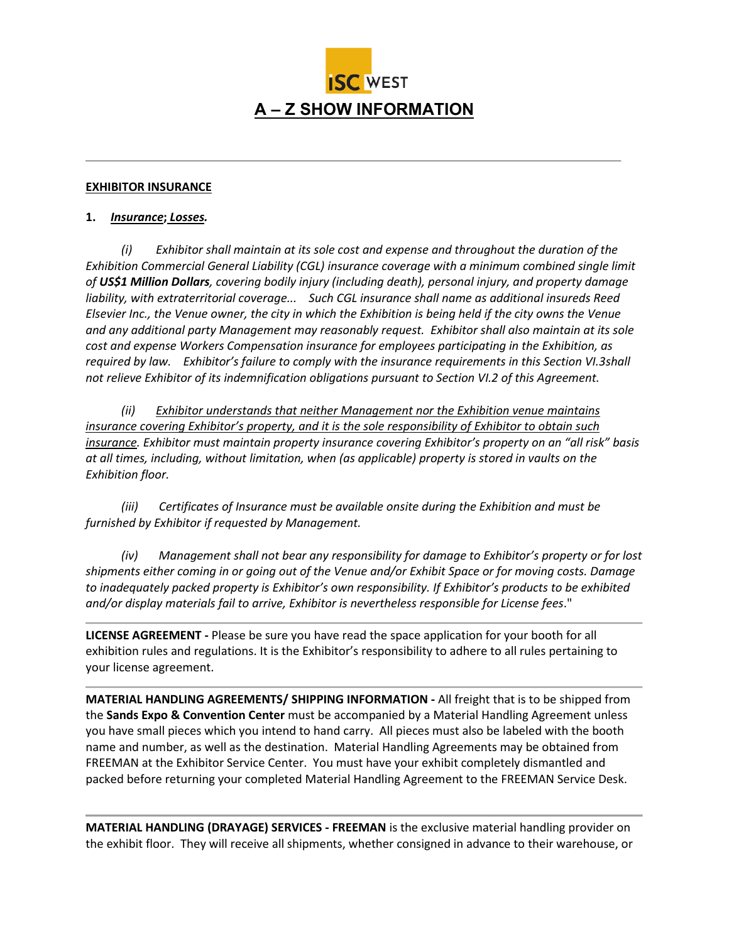

## **EXHIBITOR INSURANCE**

## **1.** *Insurance***;** *Losses.*

 *(i) Exhibitor shall maintain at its sole cost and expense and throughout the duration of the Exhibition Commercial General Liability (CGL) insurance coverage with a minimum combined single limit of US\$1 Million Dollars, covering bodily injury (including death), personal injury, and property damage liability, with extraterritorial coverage... Such CGL insurance shall name as additional insureds Reed Elsevier Inc., the Venue owner, the city in which the Exhibition is being held if the city owns the Venue and any additional party Management may reasonably request. Exhibitor shall also maintain at its sole cost and expense Workers Compensation insurance for employees participating in the Exhibition, as required by law. Exhibitor's failure to comply with the insurance requirements in this Section VI.3shall not relieve Exhibitor of its indemnification obligations pursuant to Section VI.2 of this Agreement.* 

 *(ii) Exhibitor understands that neither Management nor the Exhibition venue maintains insurance covering Exhibitor's property, and it is the sole responsibility of Exhibitor to obtain such insurance. Exhibitor must maintain property insurance covering Exhibitor's property on an "all risk" basis at all times, including, without limitation, when (as applicable) property is stored in vaults on the Exhibition floor.* 

 *(iii) Certificates of Insurance must be available onsite during the Exhibition and must be furnished by Exhibitor if requested by Management.*

 *(iv) Management shall not bear any responsibility for damage to Exhibitor's property or for lost shipments either coming in or going out of the Venue and/or Exhibit Space or for moving costs. Damage to inadequately packed property is Exhibitor's own responsibility. If Exhibitor's products to be exhibited and/or display materials fail to arrive, Exhibitor is nevertheless responsible for License fees*."

**LICENSE AGREEMENT -** Please be sure you have read the space application for your booth for all exhibition rules and regulations. It is the Exhibitor's responsibility to adhere to all rules pertaining to your license agreement.

**MATERIAL HANDLING AGREEMENTS/ SHIPPING INFORMATION -** All freight that is to be shipped from the **Sands Expo & Convention Center** must be accompanied by a Material Handling Agreement unless you have small pieces which you intend to hand carry. All pieces must also be labeled with the booth name and number, as well as the destination. Material Handling Agreements may be obtained from FREEMAN at the Exhibitor Service Center. You must have your exhibit completely dismantled and packed before returning your completed Material Handling Agreement to the FREEMAN Service Desk.

**MATERIAL HANDLING (DRAYAGE) SERVICES - FREEMAN** is the exclusive material handling provider on the exhibit floor. They will receive all shipments, whether consigned in advance to their warehouse, or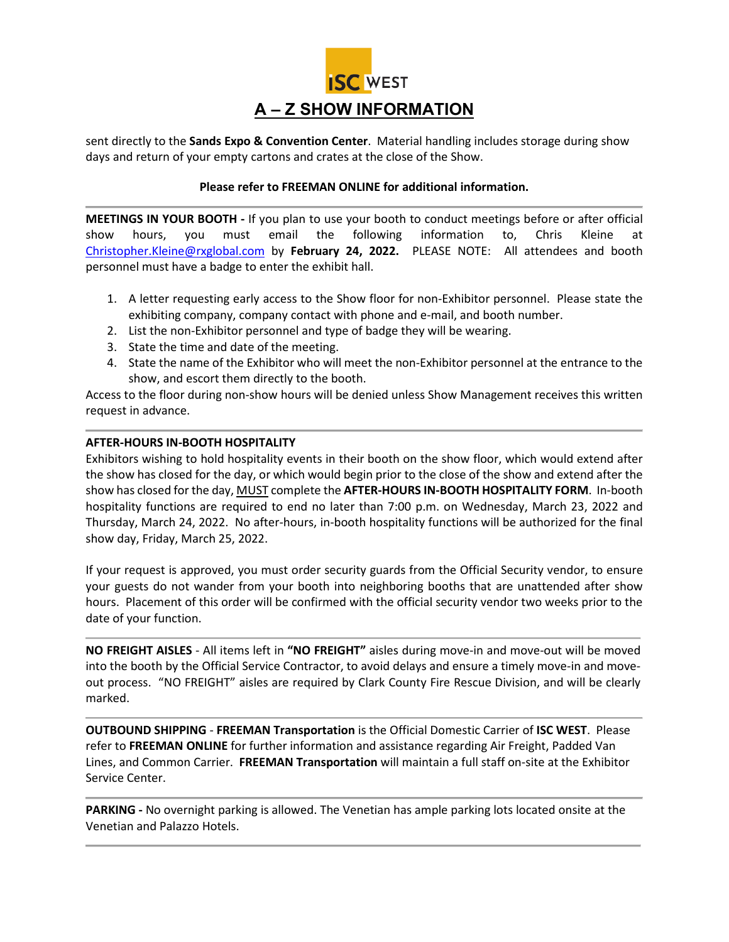

sent directly to the **Sands Expo & Convention Center**. Material handling includes storage during show days and return of your empty cartons and crates at the close of the Show.

## **Please refer to FREEMAN ONLINE for additional information.**

**MEETINGS IN YOUR BOOTH -** If you plan to use your booth to conduct meetings before or after official show hours, you must email the following information to, Chris Kleine at [Christopher.Kleine@rxglobal.com](mailto:Christopher.Kleine@rxglobal.com) by **February 24, 2022.** PLEASE NOTE: All attendees and booth personnel must have a badge to enter the exhibit hall.

- 1. A letter requesting early access to the Show floor for non-Exhibitor personnel. Please state the exhibiting company, company contact with phone and e-mail, and booth number.
- 2. List the non-Exhibitor personnel and type of badge they will be wearing.
- 3. State the time and date of the meeting.
- 4. State the name of the Exhibitor who will meet the non-Exhibitor personnel at the entrance to the show, and escort them directly to the booth.

Access to the floor during non-show hours will be denied unless Show Management receives this written request in advance.

## **AFTER-HOURS IN-BOOTH HOSPITALITY**

Exhibitors wishing to hold hospitality events in their booth on the show floor, which would extend after the show has closed for the day, or which would begin prior to the close of the show and extend after the show has closed for the day, MUST complete the **AFTER-HOURS IN-BOOTH HOSPITALITY FORM**. In-booth hospitality functions are required to end no later than 7:00 p.m. on Wednesday, March 23, 2022 and Thursday, March 24, 2022. No after-hours, in-booth hospitality functions will be authorized for the final show day, Friday, March 25, 2022.

If your request is approved, you must order security guards from the Official Security vendor, to ensure your guests do not wander from your booth into neighboring booths that are unattended after show hours. Placement of this order will be confirmed with the official security vendor two weeks prior to the date of your function.

**NO FREIGHT AISLES** - All items left in **"NO FREIGHT"** aisles during move-in and move-out will be moved into the booth by the Official Service Contractor, to avoid delays and ensure a timely move-in and moveout process. "NO FREIGHT" aisles are required by Clark County Fire Rescue Division, and will be clearly marked.

**OUTBOUND SHIPPING** - **FREEMAN Transportation** is the Official Domestic Carrier of **ISC WEST**. Please refer to **FREEMAN ONLINE** for further information and assistance regarding Air Freight, Padded Van Lines, and Common Carrier. **FREEMAN Transportation** will maintain a full staff on-site at the Exhibitor Service Center.

**PARKING -** No overnight parking is allowed. The Venetian has ample parking lots located onsite at the Venetian and Palazzo Hotels.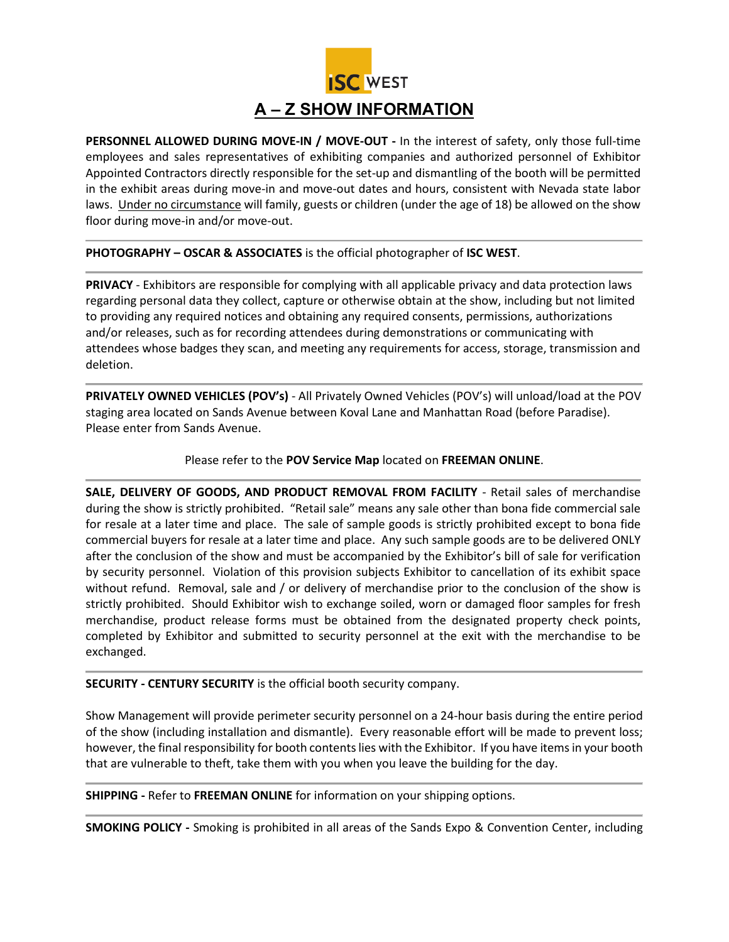

**PERSONNEL ALLOWED DURING MOVE-IN / MOVE-OUT -** In the interest of safety, only those full-time employees and sales representatives of exhibiting companies and authorized personnel of Exhibitor Appointed Contractors directly responsible for the set-up and dismantling of the booth will be permitted in the exhibit areas during move-in and move-out dates and hours, consistent with Nevada state labor laws. Under no circumstance will family, guests or children (under the age of 18) be allowed on the show floor during move-in and/or move-out.

**PHOTOGRAPHY – OSCAR & ASSOCIATES** is the official photographer of **ISC WEST**.

**PRIVACY** - Exhibitors are responsible for complying with all applicable privacy and data protection laws regarding personal data they collect, capture or otherwise obtain at the show, including but not limited to providing any required notices and obtaining any required consents, permissions, authorizations and/or releases, such as for recording attendees during demonstrations or communicating with attendees whose badges they scan, and meeting any requirements for access, storage, transmission and deletion.

**PRIVATELY OWNED VEHICLES (POV's)** - All Privately Owned Vehicles (POV's) will unload/load at the POV staging area located on Sands Avenue between Koval Lane and Manhattan Road (before Paradise). Please enter from Sands Avenue.

Please refer to the **POV Service Map** located on **FREEMAN ONLINE**.

**SALE, DELIVERY OF GOODS, AND PRODUCT REMOVAL FROM FACILITY** - Retail sales of merchandise during the show is strictly prohibited. "Retail sale" means any sale other than bona fide commercial sale for resale at a later time and place. The sale of sample goods is strictly prohibited except to bona fide commercial buyers for resale at a later time and place. Any such sample goods are to be delivered ONLY after the conclusion of the show and must be accompanied by the Exhibitor's bill of sale for verification by security personnel. Violation of this provision subjects Exhibitor to cancellation of its exhibit space without refund. Removal, sale and / or delivery of merchandise prior to the conclusion of the show is strictly prohibited. Should Exhibitor wish to exchange soiled, worn or damaged floor samples for fresh merchandise, product release forms must be obtained from the designated property check points, completed by Exhibitor and submitted to security personnel at the exit with the merchandise to be exchanged.

**SECURITY - CENTURY SECURITY** is the official booth security company.

Show Management will provide perimeter security personnel on a 24-hour basis during the entire period of the show (including installation and dismantle). Every reasonable effort will be made to prevent loss; however, the final responsibility for booth contents lies with the Exhibitor. If you have items in your booth that are vulnerable to theft, take them with you when you leave the building for the day.

**SHIPPING -** Refer to **FREEMAN ONLINE** for information on your shipping options.

**SMOKING POLICY -** Smoking is prohibited in all areas of the Sands Expo & Convention Center, including